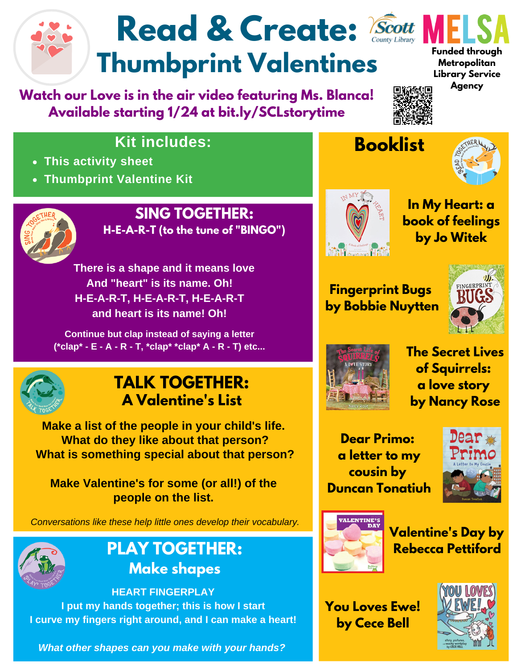# Read & Create: *Scott* **Thumbprint Valentines**

**Watch our Love is in the air video featuring Ms. Blanca! Available starting 1/24 at bit.ly/SCLstorytime**



**Library Service Agency**



### **Kit includes:**

- **This activity sheet**
- **Thumbprint Valentine Kit**



#### **SING TOGETHER: H-E-A-R-T (to the tune of "BINGO")**

**There is a shape and it means love And "heart" is its name. Oh! H-E-A-R-T, H-E-A-R-T, H-E-A-R-T and heart is its name! Oh!**

**Continue but clap instead of saying a letter (\*clap\* - E - A - R - T, \*clap\* \*clap\* A - R - T) etc...**



### **TALK TOGETHER: A Valentine's List**

**Make a list of the people in your child's life. What do they like about that person? What is something special about that person?**

**Make Valentine's for some (or all!) of the people on the list.**

*Conversations like these help little ones develop their vocabulary.*



### **PLAY TOGETHER: Make shapes**

**HEART FINGERPLAY I put my hands together; this is how I start I curve my fingers right around, and I can make a heart!**

*What other shapes can you make with your hands?*









**Fingerprint Bugs by Bobbie Nuytten**





**The Secret Lives of Squirrels: a love story by Nancy Rose**

**Dear Primo: a letter to my cousin by Duncan Tonatiuh**





**Valentine's Day by Rebecca Pettiford**

**You Loves Ewe! by Cece Bell**